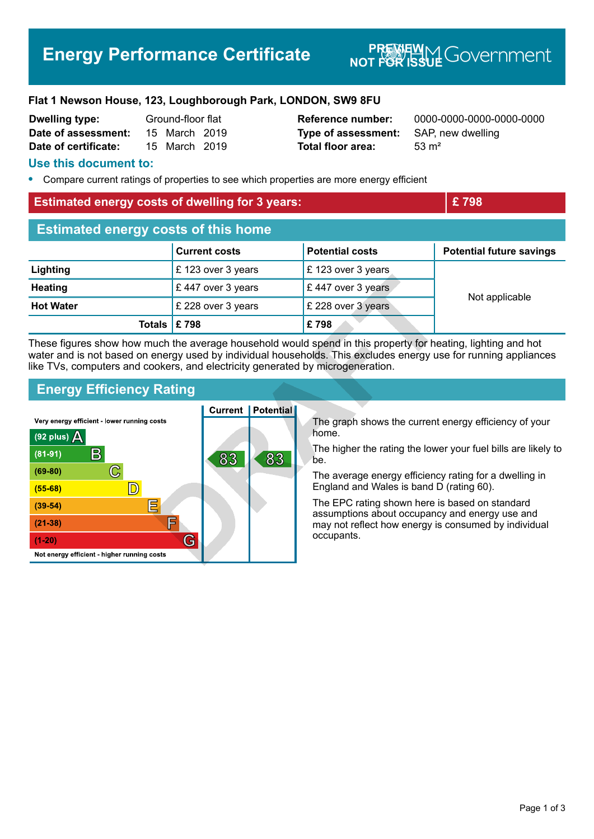# **Energy Performance Certificate**

# **NOT FOR ISSUE** GOVERNMENT

#### **Flat 1 Newson House, 123, Loughborough Park, LONDON, SW9 8FU**

| <b>Dwelling type:</b> | Ground-floor flat |               |  |
|-----------------------|-------------------|---------------|--|
| Date of assessment:   |                   | 15 March 2019 |  |
| Date of certificate:  |                   | 15 March 2019 |  |

# **Type of assessment:** SAP, new dwelling **Total floor area:** 53 m<sup>2</sup>

**Reference number:** 0000-0000-0000-0000-0000

#### **Use this document to:**

**•** Compare current ratings of properties to see which properties are more energy efficient

# **Estimated energy costs of dwelling for 3 years: EXEC 2008 EXEC 2008**

| <b>Estimated energy costs of this home</b> |                      |                              |                                 |  |
|--------------------------------------------|----------------------|------------------------------|---------------------------------|--|
|                                            | <b>Current costs</b> | <b>Potential costs</b>       | <b>Potential future savings</b> |  |
| Lighting                                   | £123 over 3 years    | £123 over 3 years            |                                 |  |
| <b>Heating</b>                             | £447 over 3 years    | $\mathsf E$ 447 over 3 years | Not applicable                  |  |
| <b>Hot Water</b>                           | £ 228 over 3 years   | £ 228 over 3 years           |                                 |  |
| Totals $\mathsf{E}$ 798                    |                      | £798                         |                                 |  |

These figures show how much the average household would spend in this property for heating, lighting and hot water and is not based on energy used by individual households. This excludes energy use for running appliances like TVs, computers and cookers, and electricity generated by microgeneration.

### **Energy Efficiency Rating**

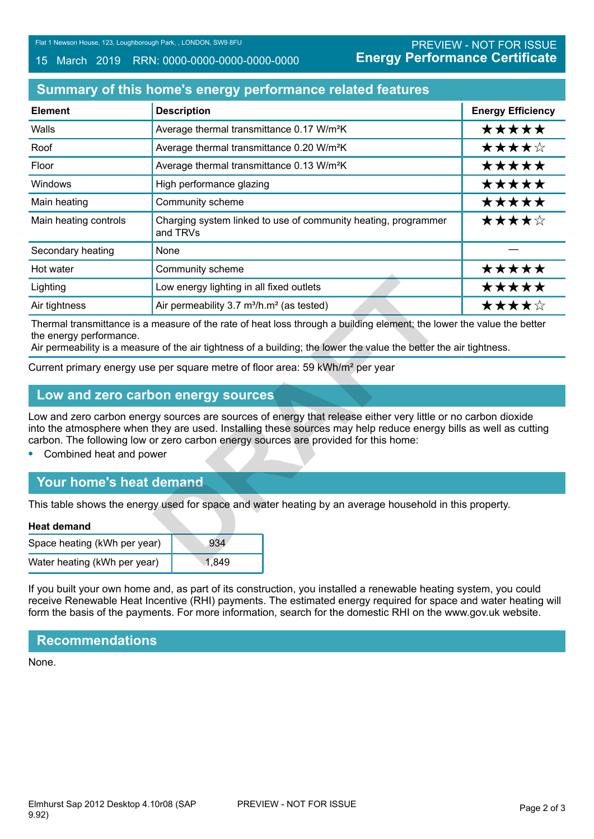#### 15 March 2019 RRN: 0000-0000-0000-0000-0000

# **Summary of this home's energy performance related features**

| <b>Element</b>        | <b>Description</b>                                                         | <b>Energy Efficiency</b> |
|-----------------------|----------------------------------------------------------------------------|--------------------------|
| Walls                 | Average thermal transmittance 0.17 W/m <sup>2</sup> K                      | *****                    |
| Roof                  | Average thermal transmittance 0.20 W/m <sup>2</sup> K                      | ★★★★☆                    |
| Floor                 | Average thermal transmittance 0.13 W/m <sup>2</sup> K                      | *****                    |
| <b>Windows</b>        | High performance glazing                                                   | *****                    |
| Main heating          | Community scheme                                                           | *****                    |
| Main heating controls | Charging system linked to use of community heating, programmer<br>and TRVs | ★★★★☆                    |
| Secondary heating     | None                                                                       |                          |
| Hot water             | Community scheme                                                           | *****                    |
| Lighting              | Low energy lighting in all fixed outlets                                   | *****                    |
| Air tightness         | Air permeability 3.7 m <sup>3</sup> /h.m <sup>2</sup> (as tested)          | ★★★★☆                    |

Thermal transmittance is a measure of the rate of heat loss through a building element; the lower the value the better the energy performance.

Air permeability is a measure of the air tightness of a building; the lower the value the better the air tightness.

Current primary energy use per square metre of floor area: 59 kWh/m² per year

#### **Low and zero carbon energy sources**

Low and zero carbon energy sources are sources of energy that release either very little or no carbon dioxide into the atmosphere when they are used. Installing these sources may help reduce energy bills as well as cutting carbon. The following low or zero carbon energy sources are provided for this home:

**•** Combined heat and power

# **Your home's heat demand**

This table shows the energy used for space and water heating by an average household in this property.

#### **Heat demand**

| Space heating (kWh per year) | 934   |
|------------------------------|-------|
| Water heating (kWh per year) | 1.849 |

If you built your own home and, as part of its construction, you installed a renewable heating system, you could receive Renewable Heat Incentive (RHI) payments. The estimated energy required for space and water heating will form the basis of the payments. For more information, search for the domestic RHI on the www.gov.uk website.

#### **Recommendations**

None.